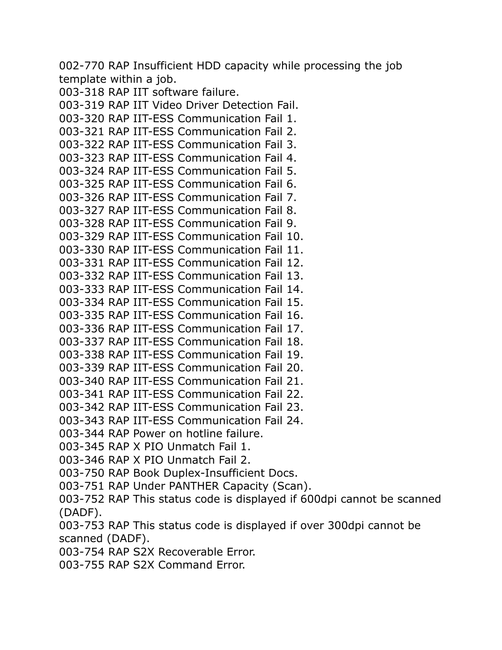002-770 RAP Insufficient HDD capacity while processing the job template within a job.

```
003-318 RAP IIT software failure.
003-319 RAP IIT Video Driver Detection Fail.
003-320 RAP IIT-ESS Communication Fail 1.
003-321 RAP IIT-ESS Communication Fail 2.
003-322 RAP IIT-ESS Communication Fail 3.
003-323 RAP IIT-ESS Communication Fail 4.
003-324 RAP IIT-ESS Communication Fail 5.
003-325 RAP IIT-ESS Communication Fail 6.
003-326 RAP IIT-ESS Communication Fail 7.
003-327 RAP IIT-ESS Communication Fail 8.
003-328 RAP IIT-ESS Communication Fail 9.
003-329 RAP IIT-ESS Communication Fail 10.
003-330 RAP IIT-ESS Communication Fail 11.
003-331 RAP IIT-ESS Communication Fail 12.
003-332 RAP IIT-ESS Communication Fail 13.
003-333 RAP IIT-ESS Communication Fail 14.
003-334 RAP IIT-ESS Communication Fail 15.
003-335 RAP IIT-ESS Communication Fail 16.
003-336 RAP IIT-ESS Communication Fail 17.
003-337 RAP IIT-ESS Communication Fail 18.
003-338 RAP IIT-ESS Communication Fail 19.
003-339 RAP IIT-ESS Communication Fail 20.
003-340 RAP IIT-ESS Communication Fail 21.
003-341 RAP IIT-ESS Communication Fail 22.
003-342 RAP IIT-ESS Communication Fail 23.
003-343 RAP IIT-ESS Communication Fail 24.
003-344 RAP Power on hotline failure.
003-345 RAP X PIO Unmatch Fail 1.
003-346 RAP X PIO Unmatch Fail 2.
003-750 RAP Book Duplex-Insufficient Docs.
003-751 RAP Under PANTHER Capacity (Scan).
003-752 RAP This status code is displayed if 600dpi cannot be scanned 
(DADF).
```
003-753 RAP This status code is displayed if over 300dpi cannot be scanned (DADF).

003-754 RAP S2X Recoverable Error.

003-755 RAP S2X Command Error.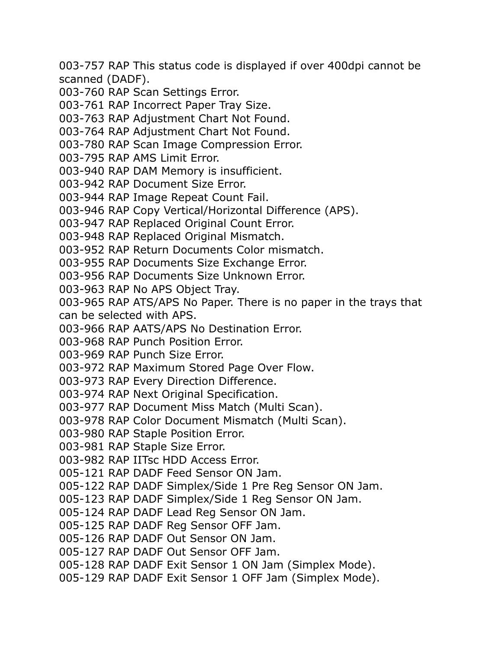003-757 RAP This status code is displayed if over 400dpi cannot be scanned (DADF).

003-760 RAP Scan Settings Error.

- 003-761 RAP Incorrect Paper Tray Size.
- 003-763 RAP Adjustment Chart Not Found.
- 003-764 RAP Adjustment Chart Not Found.
- 003-780 RAP Scan Image Compression Error.
- 003-795 RAP AMS Limit Error.
- 003-940 RAP DAM Memory is insufficient.
- 003-942 RAP Document Size Error.
- 003-944 RAP Image Repeat Count Fail.
- 003-946 RAP Copy Vertical/Horizontal Difference (APS).
- 003-947 RAP Replaced Original Count Error.
- 003-948 RAP Replaced Original Mismatch.
- 003-952 RAP Return Documents Color mismatch.
- 003-955 RAP Documents Size Exchange Error.
- 003-956 RAP Documents Size Unknown Error.
- 003-963 RAP No APS Object Tray.
- 003-965 RAP ATS/APS No Paper. There is no paper in the trays that can be selected with APS.
- 003-966 RAP AATS/APS No Destination Error.
- 003-968 RAP Punch Position Error.
- 003-969 RAP Punch Size Error.
- 003-972 RAP Maximum Stored Page Over Flow.
- 003-973 RAP Every Direction Difference.
- 003-974 RAP Next Original Specification.
- 003-977 RAP Document Miss Match (Multi Scan).
- 003-978 RAP Color Document Mismatch (Multi Scan).
- 003-980 RAP Staple Position Error.
- 003-981 RAP Staple Size Error.
- 003-982 RAP IITsc HDD Access Error.
- 005-121 RAP DADF Feed Sensor ON Jam.
- 005-122 RAP DADF Simplex/Side 1 Pre Reg Sensor ON Jam.
- 005-123 RAP DADF Simplex/Side 1 Reg Sensor ON Jam.
- 005-124 RAP DADF Lead Reg Sensor ON Jam.
- 005-125 RAP DADF Reg Sensor OFF Jam.
- 005-126 RAP DADF Out Sensor ON Jam.
- 005-127 RAP DADF Out Sensor OFF Jam.
- 005-128 RAP DADF Exit Sensor 1 ON Jam (Simplex Mode).
- 005-129 RAP DADF Exit Sensor 1 OFF Jam (Simplex Mode).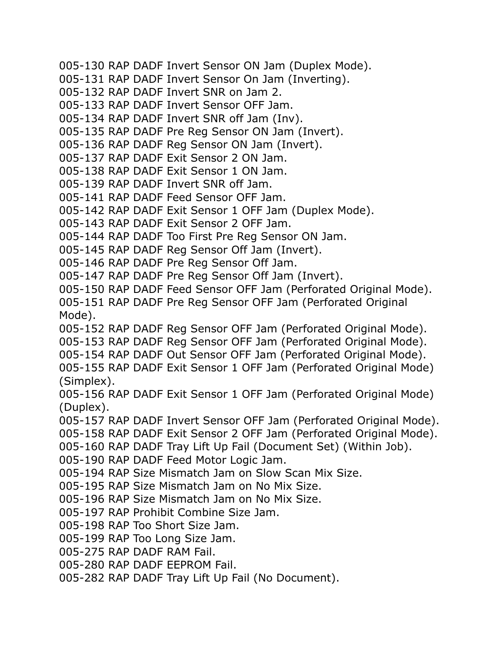005-130 RAP DADF Invert Sensor ON Jam (Duplex Mode). 005-131 RAP DADF Invert Sensor On Jam (Inverting). 005-132 RAP DADF Invert SNR on Jam 2. 005-133 RAP DADF Invert Sensor OFF Jam. 005-134 RAP DADF Invert SNR off Jam (Inv). 005-135 RAP DADF Pre Reg Sensor ON Jam (Invert). 005-136 RAP DADF Reg Sensor ON Jam (Invert). 005-137 RAP DADF Exit Sensor 2 ON Jam. 005-138 RAP DADF Exit Sensor 1 ON Jam. 005-139 RAP DADF Invert SNR off Jam. 005-141 RAP DADF Feed Sensor OFF Jam. 005-142 RAP DADF Exit Sensor 1 OFF Jam (Duplex Mode). 005-143 RAP DADF Exit Sensor 2 OFF Jam. 005-144 RAP DADF Too First Pre Reg Sensor ON Jam. 005-145 RAP DADF Reg Sensor Off Jam (Invert). 005-146 RAP DADF Pre Reg Sensor Off Jam. 005-147 RAP DADF Pre Reg Sensor Off Jam (Invert). 005-150 RAP DADF Feed Sensor OFF Jam (Perforated Original Mode). 005-151 RAP DADF Pre Reg Sensor OFF Jam (Perforated Original Mode). 005-152 RAP DADF Reg Sensor OFF Jam (Perforated Original Mode). 005-153 RAP DADF Reg Sensor OFF Jam (Perforated Original Mode). 005-154 RAP DADF Out Sensor OFF Jam (Perforated Original Mode). 005-155 RAP DADF Exit Sensor 1 OFF Jam (Perforated Original Mode) (Simplex). 005-156 RAP DADF Exit Sensor 1 OFF Jam (Perforated Original Mode) (Duplex). 005-157 RAP DADF Invert Sensor OFF Jam (Perforated Original Mode). 005-158 RAP DADF Exit Sensor 2 OFF Jam (Perforated Original Mode). 005-160 RAP DADF Tray Lift Up Fail (Document Set) (Within Job). 005-190 RAP DADF Feed Motor Logic Jam. 005-194 RAP Size Mismatch Jam on Slow Scan Mix Size. 005-195 RAP Size Mismatch Jam on No Mix Size. 005-196 RAP Size Mismatch Jam on No Mix Size. 005-197 RAP Prohibit Combine Size Jam. 005-198 RAP Too Short Size Jam. 005-199 RAP Too Long Size Jam. 005-275 RAP DADF RAM Fail. 005-280 RAP DADF EEPROM Fail. 005-282 RAP DADF Tray Lift Up Fail (No Document).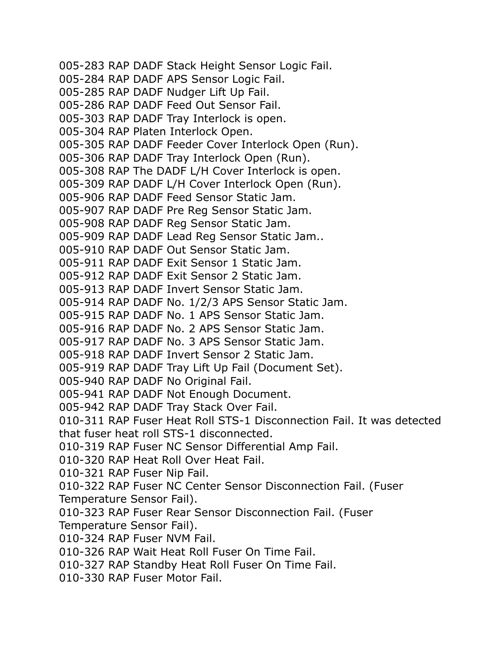005-283 RAP DADF Stack Height Sensor Logic Fail. 005-284 RAP DADF APS Sensor Logic Fail. 005-285 RAP DADF Nudger Lift Up Fail. 005-286 RAP DADF Feed Out Sensor Fail. 005-303 RAP DADF Tray Interlock is open. 005-304 RAP Platen Interlock Open. 005-305 RAP DADF Feeder Cover Interlock Open (Run). 005-306 RAP DADF Tray Interlock Open (Run). 005-308 RAP The DADF L/H Cover Interlock is open. 005-309 RAP DADF L/H Cover Interlock Open (Run). 005-906 RAP DADF Feed Sensor Static Jam. 005-907 RAP DADF Pre Reg Sensor Static Jam. 005-908 RAP DADF Reg Sensor Static Jam. 005-909 RAP DADF Lead Reg Sensor Static Jam.. 005-910 RAP DADF Out Sensor Static Jam. 005-911 RAP DADF Exit Sensor 1 Static Jam. 005-912 RAP DADF Exit Sensor 2 Static Jam. 005-913 RAP DADF Invert Sensor Static Jam. 005-914 RAP DADF No. 1/2/3 APS Sensor Static Jam. 005-915 RAP DADF No. 1 APS Sensor Static Jam. 005-916 RAP DADF No. 2 APS Sensor Static Jam. 005-917 RAP DADF No. 3 APS Sensor Static Jam. 005-918 RAP DADF Invert Sensor 2 Static Jam. 005-919 RAP DADF Tray Lift Up Fail (Document Set). 005-940 RAP DADF No Original Fail. 005-941 RAP DADF Not Enough Document. 005-942 RAP DADF Tray Stack Over Fail. 010-311 RAP Fuser Heat Roll STS-1 Disconnection Fail. It was detected that fuser heat roll STS-1 disconnected. 010-319 RAP Fuser NC Sensor Differential Amp Fail. 010-320 RAP Heat Roll Over Heat Fail. 010-321 RAP Fuser Nip Fail. 010-322 RAP Fuser NC Center Sensor Disconnection Fail. (Fuser Temperature Sensor Fail). 010-323 RAP Fuser Rear Sensor Disconnection Fail. (Fuser Temperature Sensor Fail). 010-324 RAP Fuser NVM Fail. 010-326 RAP Wait Heat Roll Fuser On Time Fail. 010-327 RAP Standby Heat Roll Fuser On Time Fail. 010-330 RAP Fuser Motor Fail.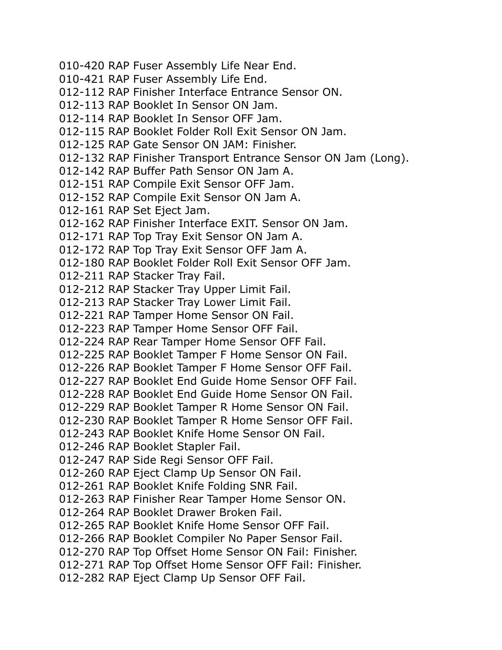010-420 RAP Fuser Assembly Life Near End. 010-421 RAP Fuser Assembly Life End. 012-112 RAP Finisher Interface Entrance Sensor ON. 012-113 RAP Booklet In Sensor ON Jam. 012-114 RAP Booklet In Sensor OFF Jam. 012-115 RAP Booklet Folder Roll Exit Sensor ON Jam. 012-125 RAP Gate Sensor ON JAM: Finisher. 012-132 RAP Finisher Transport Entrance Sensor ON Jam (Long). 012-142 RAP Buffer Path Sensor ON Jam A. 012-151 RAP Compile Exit Sensor OFF Jam. 012-152 RAP Compile Exit Sensor ON Jam A. 012-161 RAP Set Eject Jam. 012-162 RAP Finisher Interface EXIT. Sensor ON Jam. 012-171 RAP Top Tray Exit Sensor ON Jam A. 012-172 RAP Top Tray Exit Sensor OFF Jam A. 012-180 RAP Booklet Folder Roll Exit Sensor OFF Jam. 012-211 RAP Stacker Tray Fail. 012-212 RAP Stacker Tray Upper Limit Fail. 012-213 RAP Stacker Tray Lower Limit Fail. 012-221 RAP Tamper Home Sensor ON Fail. 012-223 RAP Tamper Home Sensor OFF Fail. 012-224 RAP Rear Tamper Home Sensor OFF Fail. 012-225 RAP Booklet Tamper F Home Sensor ON Fail. 012-226 RAP Booklet Tamper F Home Sensor OFF Fail. 012-227 RAP Booklet End Guide Home Sensor OFF Fail. 012-228 RAP Booklet End Guide Home Sensor ON Fail. 012-229 RAP Booklet Tamper R Home Sensor ON Fail. 012-230 RAP Booklet Tamper R Home Sensor OFF Fail. 012-243 RAP Booklet Knife Home Sensor ON Fail. 012-246 RAP Booklet Stapler Fail. 012-247 RAP Side Regi Sensor OFF Fail. 012-260 RAP Eject Clamp Up Sensor ON Fail. 012-261 RAP Booklet Knife Folding SNR Fail. 012-263 RAP Finisher Rear Tamper Home Sensor ON. 012-264 RAP Booklet Drawer Broken Fail. 012-265 RAP Booklet Knife Home Sensor OFF Fail. 012-266 RAP Booklet Compiler No Paper Sensor Fail. 012-270 RAP Top Offset Home Sensor ON Fail: Finisher. 012-271 RAP Top Offset Home Sensor OFF Fail: Finisher. 012-282 RAP Eject Clamp Up Sensor OFF Fail.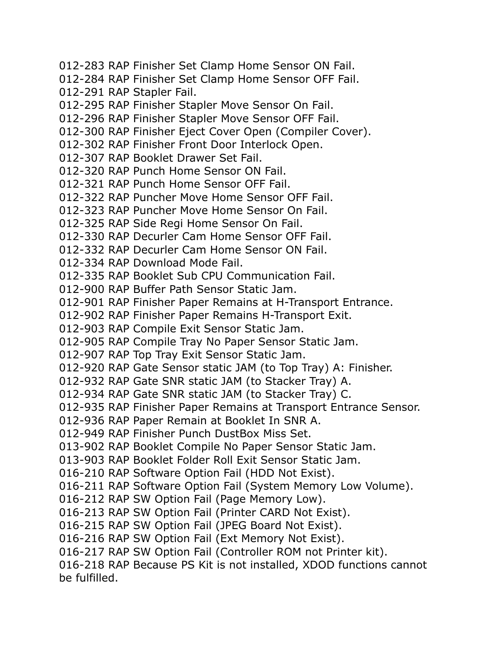012-283 RAP Finisher Set Clamp Home Sensor ON Fail. 012-284 RAP Finisher Set Clamp Home Sensor OFF Fail. 012-291 RAP Stapler Fail. 012-295 RAP Finisher Stapler Move Sensor On Fail. 012-296 RAP Finisher Stapler Move Sensor OFF Fail. 012-300 RAP Finisher Eject Cover Open (Compiler Cover). 012-302 RAP Finisher Front Door Interlock Open. 012-307 RAP Booklet Drawer Set Fail. 012-320 RAP Punch Home Sensor ON Fail. 012-321 RAP Punch Home Sensor OFF Fail. 012-322 RAP Puncher Move Home Sensor OFF Fail. 012-323 RAP Puncher Move Home Sensor On Fail. 012-325 RAP Side Regi Home Sensor On Fail. 012-330 RAP Decurler Cam Home Sensor OFF Fail. 012-332 RAP Decurler Cam Home Sensor ON Fail. 012-334 RAP Download Mode Fail. 012-335 RAP Booklet Sub CPU Communication Fail. 012-900 RAP Buffer Path Sensor Static Jam. 012-901 RAP Finisher Paper Remains at H-Transport Entrance. 012-902 RAP Finisher Paper Remains H-Transport Exit. 012-903 RAP Compile Exit Sensor Static Jam. 012-905 RAP Compile Tray No Paper Sensor Static Jam. 012-907 RAP Top Tray Exit Sensor Static Jam. 012-920 RAP Gate Sensor static JAM (to Top Tray) A: Finisher. 012-932 RAP Gate SNR static JAM (to Stacker Tray) A. 012-934 RAP Gate SNR static JAM (to Stacker Tray) C. 012-935 RAP Finisher Paper Remains at Transport Entrance Sensor. 012-936 RAP Paper Remain at Booklet In SNR A. 012-949 RAP Finisher Punch DustBox Miss Set. 013-902 RAP Booklet Compile No Paper Sensor Static Jam. 013-903 RAP Booklet Folder Roll Exit Sensor Static Jam. 016-210 RAP Software Option Fail (HDD Not Exist). 016-211 RAP Software Option Fail (System Memory Low Volume). 016-212 RAP SW Option Fail (Page Memory Low). 016-213 RAP SW Option Fail (Printer CARD Not Exist). 016-215 RAP SW Option Fail (JPEG Board Not Exist). 016-216 RAP SW Option Fail (Ext Memory Not Exist). 016-217 RAP SW Option Fail (Controller ROM not Printer kit). 016-218 RAP Because PS Kit is not installed, XDOD functions cannot be fulfilled.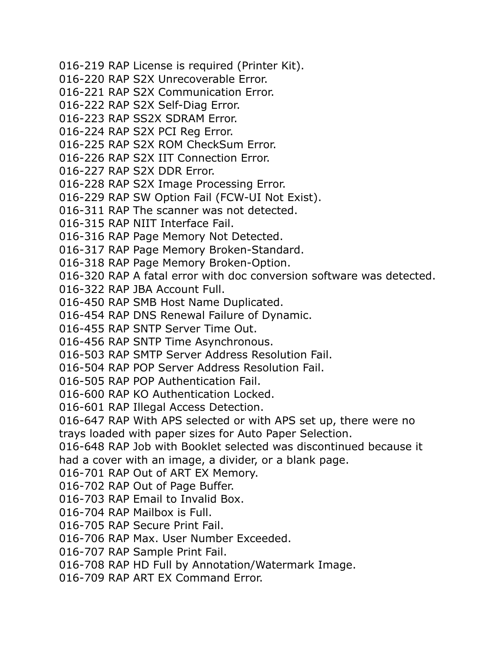016-219 RAP License is required (Printer Kit). 016-220 RAP S2X Unrecoverable Error. 016-221 RAP S2X Communication Error. 016-222 RAP S2X Self-Diag Error. 016-223 RAP SS2X SDRAM Error. 016-224 RAP S2X PCI Reg Error. 016-225 RAP S2X ROM CheckSum Error. 016-226 RAP S2X IIT Connection Error. 016-227 RAP S2X DDR Error. 016-228 RAP S2X Image Processing Error. 016-229 RAP SW Option Fail (FCW-UI Not Exist). 016-311 RAP The scanner was not detected. 016-315 RAP NIIT Interface Fail. 016-316 RAP Page Memory Not Detected. 016-317 RAP Page Memory Broken-Standard. 016-318 RAP Page Memory Broken-Option. 016-320 RAP A fatal error with doc conversion software was detected. 016-322 RAP JBA Account Full. 016-450 RAP SMB Host Name Duplicated. 016-454 RAP DNS Renewal Failure of Dynamic. 016-455 RAP SNTP Server Time Out. 016-456 RAP SNTP Time Asynchronous. 016-503 RAP SMTP Server Address Resolution Fail. 016-504 RAP POP Server Address Resolution Fail. 016-505 RAP POP Authentication Fail. 016-600 RAP KO Authentication Locked. 016-601 RAP Illegal Access Detection. 016-647 RAP With APS selected or with APS set up, there were no trays loaded with paper sizes for Auto Paper Selection. 016-648 RAP Job with Booklet selected was discontinued because it had a cover with an image, a divider, or a blank page. 016-701 RAP Out of ART EX Memory. 016-702 RAP Out of Page Buffer. 016-703 RAP Email to Invalid Box. 016-704 RAP Mailbox is Full. 016-705 RAP Secure Print Fail. 016-706 RAP Max. User Number Exceeded. 016-707 RAP Sample Print Fail. 016-708 RAP HD Full by Annotation/Watermark Image. 016-709 RAP ART EX Command Error.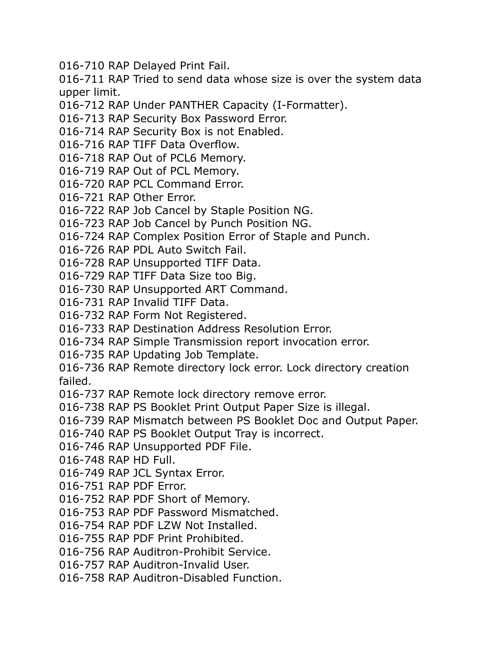016-710 RAP Delayed Print Fail.

016-711 RAP Tried to send data whose size is over the system data upper limit.

- 016-712 RAP Under PANTHER Capacity (I-Formatter).
- 016-713 RAP Security Box Password Error.
- 016-714 RAP Security Box is not Enabled.
- 016-716 RAP TIFF Data Overflow.
- 016-718 RAP Out of PCL6 Memory.
- 016-719 RAP Out of PCL Memory.
- 016-720 RAP PCL Command Error.
- 016-721 RAP Other Error.
- 016-722 RAP Job Cancel by Staple Position NG.
- 016-723 RAP Job Cancel by Punch Position NG.
- 016-724 RAP Complex Position Error of Staple and Punch.
- 016-726 RAP PDL Auto Switch Fail.
- 016-728 RAP Unsupported TIFF Data.
- 016-729 RAP TIFF Data Size too Big.
- 016-730 RAP Unsupported ART Command.
- 016-731 RAP Invalid TIFF Data.
- 016-732 RAP Form Not Registered.
- 016-733 RAP Destination Address Resolution Error.
- 016-734 RAP Simple Transmission report invocation error.
- 016-735 RAP Updating Job Template.
- 016-736 RAP Remote directory lock error. Lock directory creation failed.
- 016-737 RAP Remote lock directory remove error.
- 016-738 RAP PS Booklet Print Output Paper Size is illegal.
- 016-739 RAP Mismatch between PS Booklet Doc and Output Paper.
- 016-740 RAP PS Booklet Output Tray is incorrect.
- 016-746 RAP Unsupported PDF File.
- 016-748 RAP HD Full.
- 016-749 RAP JCL Syntax Error.
- 016-751 RAP PDF Error.
- 016-752 RAP PDF Short of Memory.
- 016-753 RAP PDF Password Mismatched.
- 016-754 RAP PDF LZW Not Installed.
- 016-755 RAP PDF Print Prohibited.
- 016-756 RAP Auditron-Prohibit Service.
- 016-757 RAP Auditron-Invalid User.
- 016-758 RAP Auditron-Disabled Function.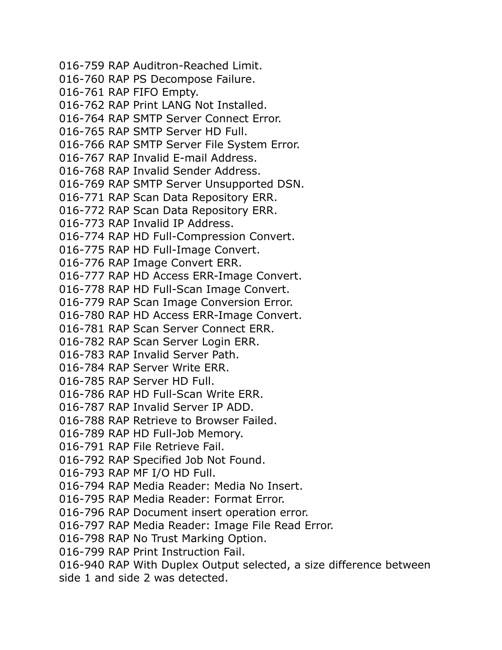016-759 RAP Auditron-Reached Limit. 016-760 RAP PS Decompose Failure. 016-761 RAP FIFO Empty. 016-762 RAP Print LANG Not Installed. 016-764 RAP SMTP Server Connect Error. 016-765 RAP SMTP Server HD Full. 016-766 RAP SMTP Server File System Error. 016-767 RAP Invalid E-mail Address. 016-768 RAP Invalid Sender Address. 016-769 RAP SMTP Server Unsupported DSN. 016-771 RAP Scan Data Repository ERR. 016-772 RAP Scan Data Repository ERR. 016-773 RAP Invalid IP Address. 016-774 RAP HD Full-Compression Convert. 016-775 RAP HD Full-Image Convert. 016-776 RAP Image Convert ERR. 016-777 RAP HD Access ERR-Image Convert. 016-778 RAP HD Full-Scan Image Convert. 016-779 RAP Scan Image Conversion Error. 016-780 RAP HD Access ERR-Image Convert. 016-781 RAP Scan Server Connect ERR. 016-782 RAP Scan Server Login ERR. 016-783 RAP Invalid Server Path. 016-784 RAP Server Write ERR. 016-785 RAP Server HD Full. 016-786 RAP HD Full-Scan Write ERR. 016-787 RAP Invalid Server IP ADD. 016-788 RAP Retrieve to Browser Failed. 016-789 RAP HD Full-Job Memory. 016-791 RAP File Retrieve Fail. 016-792 RAP Specified Job Not Found. 016-793 RAP MF I/O HD Full. 016-794 RAP Media Reader: Media No Insert. 016-795 RAP Media Reader: Format Error. 016-796 RAP Document insert operation error. 016-797 RAP Media Reader: Image File Read Error. 016-798 RAP No Trust Marking Option. 016-799 RAP Print Instruction Fail. 016-940 RAP With Duplex Output selected, a size difference between side 1 and side 2 was detected.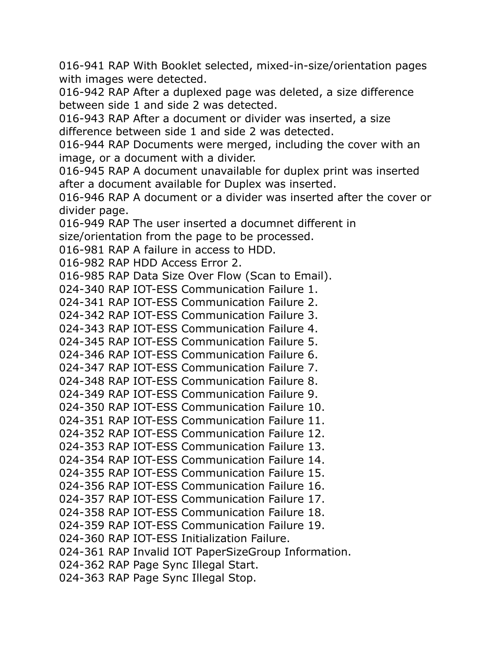016-941 RAP With Booklet selected, mixed-in-size/orientation pages with images were detected.

016-942 RAP After a duplexed page was deleted, a size difference between side 1 and side 2 was detected.

016-943 RAP After a document or divider was inserted, a size difference between side 1 and side 2 was detected.

016-944 RAP Documents were merged, including the cover with an image, or a document with a divider.

016-945 RAP A document unavailable for duplex print was inserted after a document available for Duplex was inserted.

016-946 RAP A document or a divider was inserted after the cover or divider page.

016-949 RAP The user inserted a documnet different in size/orientation from the page to be processed.

016-981 RAP A failure in access to HDD.

016-982 RAP HDD Access Error 2.

016-985 RAP Data Size Over Flow (Scan to Email).

024-340 RAP IOT-ESS Communication Failure 1.

024-341 RAP IOT-ESS Communication Failure 2.

024-342 RAP IOT-ESS Communication Failure 3.

024-343 RAP IOT-ESS Communication Failure 4.

024-345 RAP IOT-ESS Communication Failure 5.

024-346 RAP IOT-ESS Communication Failure 6.

024-347 RAP IOT-ESS Communication Failure 7.

024-348 RAP IOT-ESS Communication Failure 8.

024-349 RAP IOT-ESS Communication Failure 9.

024-350 RAP IOT-ESS Communication Failure 10.

024-351 RAP IOT-ESS Communication Failure 11.

024-352 RAP IOT-ESS Communication Failure 12.

024-353 RAP IOT-ESS Communication Failure 13.

024-354 RAP IOT-ESS Communication Failure 14.

024-355 RAP IOT-ESS Communication Failure 15.

024-356 RAP IOT-ESS Communication Failure 16.

024-357 RAP IOT-ESS Communication Failure 17.

024-358 RAP IOT-ESS Communication Failure 18.

024-359 RAP IOT-ESS Communication Failure 19.

024-360 RAP IOT-ESS Initialization Failure.

024-361 RAP Invalid IOT PaperSizeGroup Information.

024-362 RAP Page Sync Illegal Start.

024-363 RAP Page Sync Illegal Stop.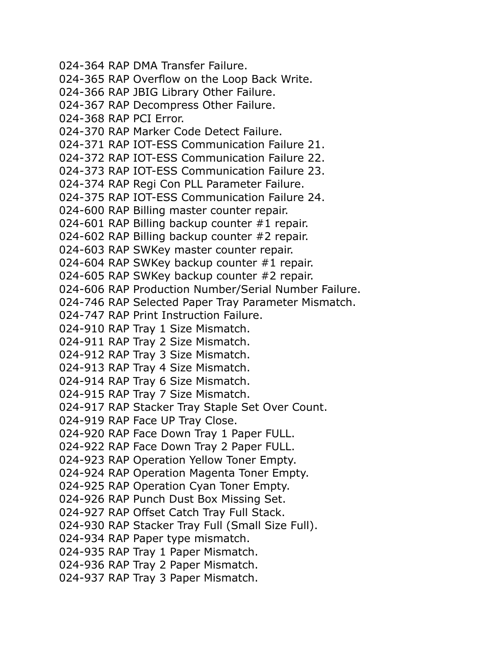024-364 RAP DMA Transfer Failure. 024-365 RAP Overflow on the Loop Back Write. 024-366 RAP JBIG Library Other Failure. 024-367 RAP Decompress Other Failure. 024-368 RAP PCI Error. 024-370 RAP Marker Code Detect Failure. 024-371 RAP IOT-ESS Communication Failure 21. 024-372 RAP IOT-ESS Communication Failure 22. 024-373 RAP IOT-ESS Communication Failure 23. 024-374 RAP Regi Con PLL Parameter Failure. 024-375 RAP IOT-ESS Communication Failure 24. 024-600 RAP Billing master counter repair. 024-601 RAP Billing backup counter #1 repair. 024-602 RAP Billing backup counter #2 repair. 024-603 RAP SWKey master counter repair. 024-604 RAP SWKey backup counter #1 repair. 024-605 RAP SWKey backup counter #2 repair. 024-606 RAP Production Number/Serial Number Failure. 024-746 RAP Selected Paper Tray Parameter Mismatch. 024-747 RAP Print Instruction Failure. 024-910 RAP Tray 1 Size Mismatch. 024-911 RAP Tray 2 Size Mismatch. 024-912 RAP Tray 3 Size Mismatch. 024-913 RAP Tray 4 Size Mismatch. 024-914 RAP Tray 6 Size Mismatch. 024-915 RAP Tray 7 Size Mismatch. 024-917 RAP Stacker Tray Staple Set Over Count. 024-919 RAP Face UP Tray Close. 024-920 RAP Face Down Tray 1 Paper FULL. 024-922 RAP Face Down Tray 2 Paper FULL. 024-923 RAP Operation Yellow Toner Empty. 024-924 RAP Operation Magenta Toner Empty. 024-925 RAP Operation Cyan Toner Empty. 024-926 RAP Punch Dust Box Missing Set. 024-927 RAP Offset Catch Tray Full Stack. 024-930 RAP Stacker Tray Full (Small Size Full). 024-934 RAP Paper type mismatch. 024-935 RAP Tray 1 Paper Mismatch. 024-936 RAP Tray 2 Paper Mismatch. 024-937 RAP Tray 3 Paper Mismatch.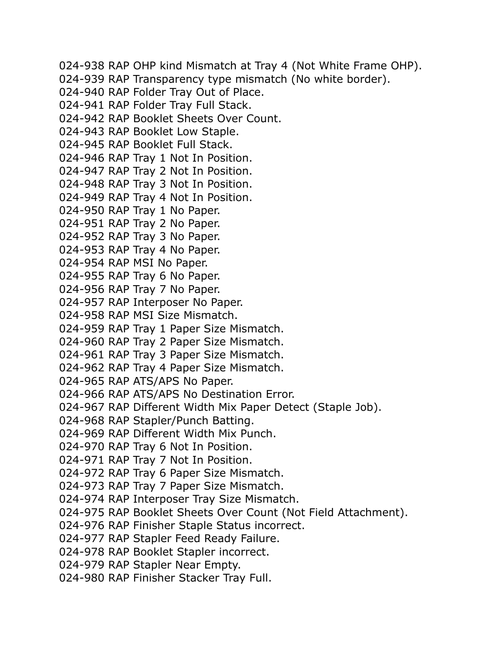024-938 RAP OHP kind Mismatch at Tray 4 (Not White Frame OHP). 024-939 RAP Transparency type mismatch (No white border). 024-940 RAP Folder Tray Out of Place. 024-941 RAP Folder Tray Full Stack. 024-942 RAP Booklet Sheets Over Count. 024-943 RAP Booklet Low Staple. 024-945 RAP Booklet Full Stack. 024-946 RAP Tray 1 Not In Position. 024-947 RAP Tray 2 Not In Position. 024-948 RAP Tray 3 Not In Position. 024-949 RAP Tray 4 Not In Position. 024-950 RAP Tray 1 No Paper. 024-951 RAP Tray 2 No Paper. 024-952 RAP Tray 3 No Paper. 024-953 RAP Tray 4 No Paper. 024-954 RAP MSI No Paper. 024-955 RAP Tray 6 No Paper. 024-956 RAP Tray 7 No Paper. 024-957 RAP Interposer No Paper. 024-958 RAP MSI Size Mismatch. 024-959 RAP Tray 1 Paper Size Mismatch. 024-960 RAP Tray 2 Paper Size Mismatch. 024-961 RAP Tray 3 Paper Size Mismatch. 024-962 RAP Tray 4 Paper Size Mismatch. 024-965 RAP ATS/APS No Paper. 024-966 RAP ATS/APS No Destination Error. 024-967 RAP Different Width Mix Paper Detect (Staple Job). 024-968 RAP Stapler/Punch Batting. 024-969 RAP Different Width Mix Punch. 024-970 RAP Tray 6 Not In Position. 024-971 RAP Tray 7 Not In Position. 024-972 RAP Tray 6 Paper Size Mismatch. 024-973 RAP Tray 7 Paper Size Mismatch. 024-974 RAP Interposer Tray Size Mismatch. 024-975 RAP Booklet Sheets Over Count (Not Field Attachment). 024-976 RAP Finisher Staple Status incorrect. 024-977 RAP Stapler Feed Ready Failure. 024-978 RAP Booklet Stapler incorrect. 024-979 RAP Stapler Near Empty. 024-980 RAP Finisher Stacker Tray Full.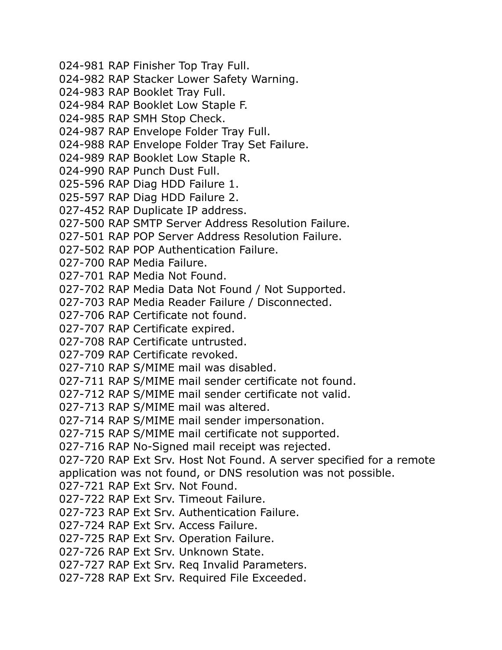024-981 RAP Finisher Top Tray Full. 024-982 RAP Stacker Lower Safety Warning. 024-983 RAP Booklet Tray Full. 024-984 RAP Booklet Low Staple F. 024-985 RAP SMH Stop Check. 024-987 RAP Envelope Folder Tray Full. 024-988 RAP Envelope Folder Tray Set Failure. 024-989 RAP Booklet Low Staple R. 024-990 RAP Punch Dust Full. 025-596 RAP Diag HDD Failure 1. 025-597 RAP Diag HDD Failure 2. 027-452 RAP Duplicate IP address. 027-500 RAP SMTP Server Address Resolution Failure. 027-501 RAP POP Server Address Resolution Failure. 027-502 RAP POP Authentication Failure. 027-700 RAP Media Failure. 027-701 RAP Media Not Found. 027-702 RAP Media Data Not Found / Not Supported. 027-703 RAP Media Reader Failure / Disconnected. 027-706 RAP Certificate not found. 027-707 RAP Certificate expired. 027-708 RAP Certificate untrusted. 027-709 RAP Certificate revoked. 027-710 RAP S/MIME mail was disabled. 027-711 RAP S/MIME mail sender certificate not found. 027-712 RAP S/MIME mail sender certificate not valid. 027-713 RAP S/MIME mail was altered. 027-714 RAP S/MIME mail sender impersonation. 027-715 RAP S/MIME mail certificate not supported. 027-716 RAP No-Signed mail receipt was rejected. 027-720 RAP Ext Srv. Host Not Found. A server specified for a remote application was not found, or DNS resolution was not possible. 027-721 RAP Ext Srv. Not Found. 027-722 RAP Ext Srv. Timeout Failure. 027-723 RAP Ext Srv. Authentication Failure. 027-724 RAP Ext Srv. Access Failure. 027-725 RAP Ext Srv. Operation Failure. 027-726 RAP Ext Srv. Unknown State. 027-727 RAP Ext Srv. Req Invalid Parameters. 027-728 RAP Ext Srv. Required File Exceeded.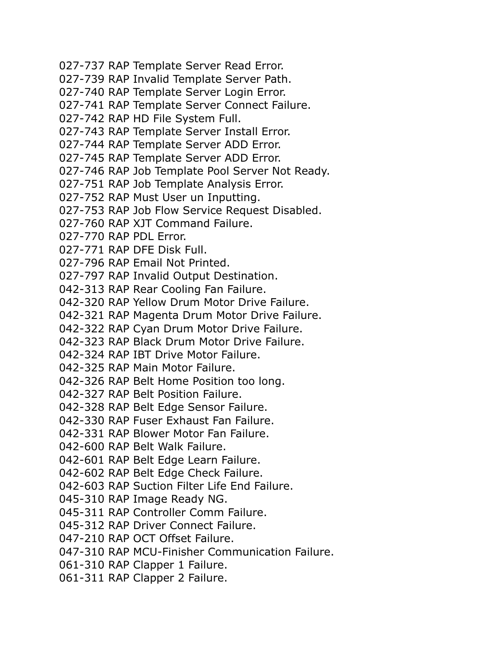- 027-737 RAP Template Server Read Error.
- 027-739 RAP Invalid Template Server Path.
- 027-740 RAP Template Server Login Error.
- 027-741 RAP Template Server Connect Failure.
- 027-742 RAP HD File System Full.
- 027-743 RAP Template Server Install Error.
- 027-744 RAP Template Server ADD Error.
- 027-745 RAP Template Server ADD Error.
- 027-746 RAP Job Template Pool Server Not Ready.
- 027-751 RAP Job Template Analysis Error.
- 027-752 RAP Must User un Inputting.
- 027-753 RAP Job Flow Service Request Disabled.
- 027-760 RAP XJT Command Failure.
- 027-770 RAP PDL Error.
- 027-771 RAP DFE Disk Full.
- 027-796 RAP Email Not Printed.
- 027-797 RAP Invalid Output Destination.
- 042-313 RAP Rear Cooling Fan Failure.
- 042-320 RAP Yellow Drum Motor Drive Failure.
- 042-321 RAP Magenta Drum Motor Drive Failure.
- 042-322 RAP Cyan Drum Motor Drive Failure.
- 042-323 RAP Black Drum Motor Drive Failure.
- 042-324 RAP IBT Drive Motor Failure.
- 042-325 RAP Main Motor Failure.
- 042-326 RAP Belt Home Position too long.
- 042-327 RAP Belt Position Failure.
- 042-328 RAP Belt Edge Sensor Failure.
- 042-330 RAP Fuser Exhaust Fan Failure.
- 042-331 RAP Blower Motor Fan Failure.
- 042-600 RAP Belt Walk Failure.
- 042-601 RAP Belt Edge Learn Failure.
- 042-602 RAP Belt Edge Check Failure.
- 042-603 RAP Suction Filter Life End Failure.
- 045-310 RAP Image Ready NG.
- 045-311 RAP Controller Comm Failure.
- 045-312 RAP Driver Connect Failure.
- 047-210 RAP OCT Offset Failure.
- 047-310 RAP MCU-Finisher Communication Failure.
- 061-310 RAP Clapper 1 Failure.
- 061-311 RAP Clapper 2 Failure.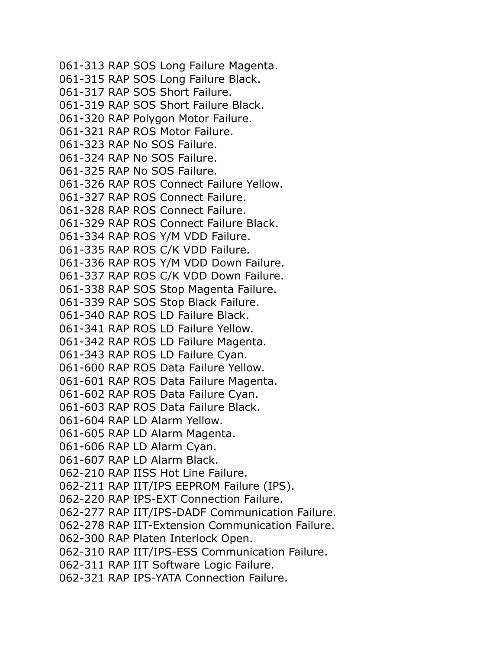061-313 RAP SOS Long Failure Magenta. 061-315 RAP SOS Long Failure Black. 061-317 RAP SOS Short Failure. 061-319 RAP SOS Short Failure Black. 061-320 RAP Polygon Motor Failure. 061-321 RAP ROS Motor Failure. 061-323 RAP No SOS Failure. 061-324 RAP No SOS Failure. 061-325 RAP No SOS Failure. 061-326 RAP ROS Connect Failure Yellow. 061-327 RAP ROS Connect Failure. 061-328 RAP ROS Connect Failure. 061-329 RAP ROS Connect Failure Black. 061-334 RAP ROS Y/M VDD Failure. 061-335 RAP ROS C/K VDD Failure. 061-336 RAP ROS Y/M VDD Down Failure. 061-337 RAP ROS C/K VDD Down Failure. 061-338 RAP SOS Stop Magenta Failure. 061-339 RAP SOS Stop Black Failure. 061-340 RAP ROS LD Failure Black. 061-341 RAP ROS LD Failure Yellow. 061-342 RAP ROS LD Failure Magenta. 061-343 RAP ROS LD Failure Cyan. 061-600 RAP ROS Data Failure Yellow. 061-601 RAP ROS Data Failure Magenta. 061-602 RAP ROS Data Failure Cyan. 061-603 RAP ROS Data Failure Black. 061-604 RAP LD Alarm Yellow. 061-605 RAP LD Alarm Magenta. 061-606 RAP LD Alarm Cyan. 061-607 RAP LD Alarm Black. 062-210 RAP IISS Hot Line Failure. 062-211 RAP IIT/IPS EEPROM Failure (IPS). 062-220 RAP IPS-EXT Connection Failure. 062-277 RAP IIT/IPS-DADF Communication Failure. 062-278 RAP IIT-Extension Communication Failure. 062-300 RAP Platen Interlock Open. 062-310 RAP IIT/IPS-ESS Communication Failure. 062-311 RAP IIT Software Logic Failure. 062-321 RAP IPS-YATA Connection Failure.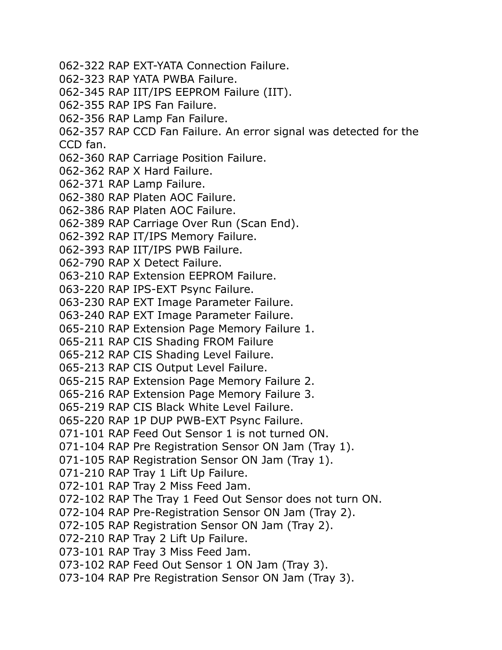- 062-322 RAP EXT-YATA Connection Failure.
- 062-323 RAP YATA PWBA Failure.
- 062-345 RAP IIT/IPS EEPROM Failure (IIT).
- 062-355 RAP IPS Fan Failure.
- 062-356 RAP Lamp Fan Failure.
- 062-357 RAP CCD Fan Failure. An error signal was detected for the

CCD fan.

- 062-360 RAP Carriage Position Failure.
- 062-362 RAP X Hard Failure.
- 062-371 RAP Lamp Failure.
- 062-380 RAP Platen AOC Failure.
- 062-386 RAP Platen AOC Failure.
- 062-389 RAP Carriage Over Run (Scan End).
- 062-392 RAP IT/IPS Memory Failure.
- 062-393 RAP IIT/IPS PWB Failure.
- 062-790 RAP X Detect Failure.
- 063-210 RAP Extension EEPROM Failure.
- 063-220 RAP IPS-EXT Psync Failure.
- 063-230 RAP EXT Image Parameter Failure.
- 063-240 RAP EXT Image Parameter Failure.
- 065-210 RAP Extension Page Memory Failure 1.
- 065-211 RAP CIS Shading FROM Failure
- 065-212 RAP CIS Shading Level Failure.
- 065-213 RAP CIS Output Level Failure.
- 065-215 RAP Extension Page Memory Failure 2.
- 065-216 RAP Extension Page Memory Failure 3.
- 065-219 RAP CIS Black White Level Failure.
- 065-220 RAP 1P DUP PWB-EXT Psync Failure.
- 071-101 RAP Feed Out Sensor 1 is not turned ON.
- 071-104 RAP Pre Registration Sensor ON Jam (Tray 1).
- 071-105 RAP Registration Sensor ON Jam (Tray 1).
- 071-210 RAP Tray 1 Lift Up Failure.
- 072-101 RAP Tray 2 Miss Feed Jam.
- 072-102 RAP The Tray 1 Feed Out Sensor does not turn ON.
- 072-104 RAP Pre-Registration Sensor ON Jam (Tray 2).
- 072-105 RAP Registration Sensor ON Jam (Tray 2).
- 072-210 RAP Tray 2 Lift Up Failure.
- 073-101 RAP Tray 3 Miss Feed Jam.
- 073-102 RAP Feed Out Sensor 1 ON Jam (Tray 3).
- 073-104 RAP Pre Registration Sensor ON Jam (Tray 3).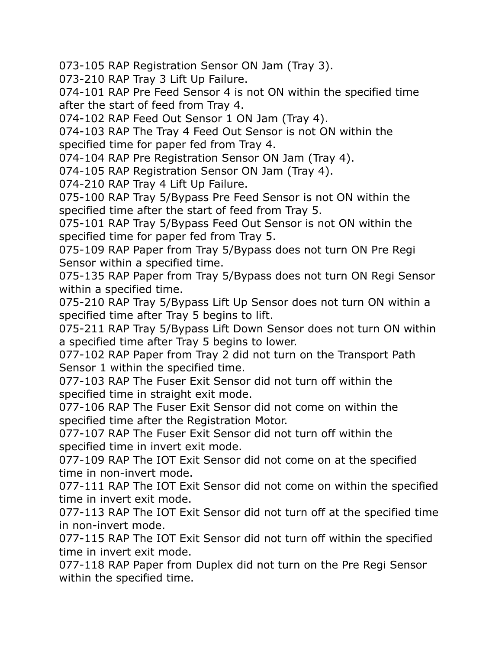073-105 RAP Registration Sensor ON Jam (Tray 3).

073-210 RAP Tray 3 Lift Up Failure.

074-101 RAP Pre Feed Sensor 4 is not ON within the specified time after the start of feed from Tray 4.

074-102 RAP Feed Out Sensor 1 ON Jam (Tray 4).

074-103 RAP The Tray 4 Feed Out Sensor is not ON within the specified time for paper fed from Tray 4.

074-104 RAP Pre Registration Sensor ON Jam (Tray 4).

074-105 RAP Registration Sensor ON Jam (Tray 4).

074-210 RAP Tray 4 Lift Up Failure.

075-100 RAP Tray 5/Bypass Pre Feed Sensor is not ON within the specified time after the start of feed from Tray 5.

075-101 RAP Tray 5/Bypass Feed Out Sensor is not ON within the specified time for paper fed from Tray 5.

075-109 RAP Paper from Tray 5/Bypass does not turn ON Pre Regi Sensor within a specified time.

075-135 RAP Paper from Tray 5/Bypass does not turn ON Regi Sensor within a specified time.

075-210 RAP Tray 5/Bypass Lift Up Sensor does not turn ON within a specified time after Tray 5 begins to lift.

075-211 RAP Tray 5/Bypass Lift Down Sensor does not turn ON within a specified time after Tray 5 begins to lower.

077-102 RAP Paper from Tray 2 did not turn on the Transport Path Sensor 1 within the specified time.

077-103 RAP The Fuser Exit Sensor did not turn off within the specified time in straight exit mode.

077-106 RAP The Fuser Exit Sensor did not come on within the specified time after the Registration Motor.

077-107 RAP The Fuser Exit Sensor did not turn off within the specified time in invert exit mode.

077-109 RAP The IOT Exit Sensor did not come on at the specified time in non-invert mode.

077-111 RAP The IOT Exit Sensor did not come on within the specified time in invert exit mode.

077-113 RAP The IOT Exit Sensor did not turn off at the specified time in non-invert mode.

077-115 RAP The IOT Exit Sensor did not turn off within the specified time in invert exit mode.

077-118 RAP Paper from Duplex did not turn on the Pre Regi Sensor within the specified time.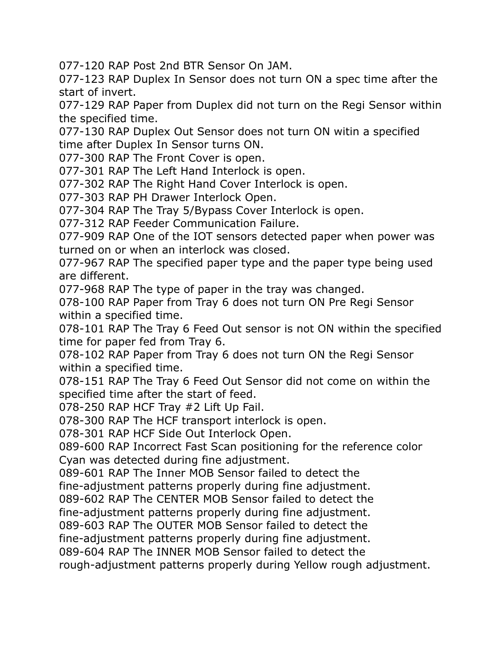077-120 RAP Post 2nd BTR Sensor On JAM.

077-123 RAP Duplex In Sensor does not turn ON a spec time after the start of invert.

077-129 RAP Paper from Duplex did not turn on the Regi Sensor within the specified time.

077-130 RAP Duplex Out Sensor does not turn ON witin a specified time after Duplex In Sensor turns ON.

077-300 RAP The Front Cover is open.

077-301 RAP The Left Hand Interlock is open.

077-302 RAP The Right Hand Cover Interlock is open.

077-303 RAP PH Drawer Interlock Open.

077-304 RAP The Tray 5/Bypass Cover Interlock is open.

077-312 RAP Feeder Communication Failure.

077-909 RAP One of the IOT sensors detected paper when power was turned on or when an interlock was closed.

077-967 RAP The specified paper type and the paper type being used are different.

077-968 RAP The type of paper in the tray was changed.

078-100 RAP Paper from Tray 6 does not turn ON Pre Regi Sensor within a specified time.

078-101 RAP The Tray 6 Feed Out sensor is not ON within the specified time for paper fed from Tray 6.

078-102 RAP Paper from Tray 6 does not turn ON the Regi Sensor within a specified time.

078-151 RAP The Tray 6 Feed Out Sensor did not come on within the specified time after the start of feed.

078-250 RAP HCF Tray #2 Lift Up Fail.

078-300 RAP The HCF transport interlock is open.

078-301 RAP HCF Side Out Interlock Open.

089-600 RAP Incorrect Fast Scan positioning for the reference color Cyan was detected during fine adjustment.

089-601 RAP The Inner MOB Sensor failed to detect the

fine-adjustment patterns properly during fine adjustment.

089-602 RAP The CENTER MOB Sensor failed to detect the

fine-adjustment patterns properly during fine adjustment.

089-603 RAP The OUTER MOB Sensor failed to detect the

fine-adjustment patterns properly during fine adjustment.

089-604 RAP The INNER MOB Sensor failed to detect the

rough-adjustment patterns properly during Yellow rough adjustment.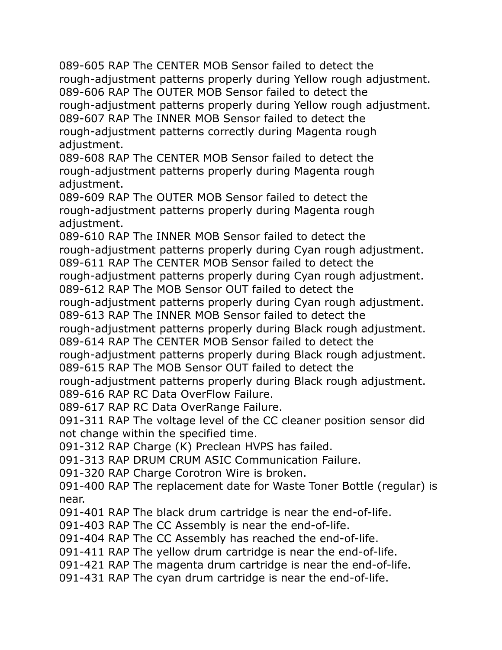089-605 RAP The CENTER MOB Sensor failed to detect the rough-adjustment patterns properly during Yellow rough adjustment. 089-606 RAP The OUTER MOB Sensor failed to detect the rough-adjustment patterns properly during Yellow rough adjustment. 089-607 RAP The INNER MOB Sensor failed to detect the rough-adjustment patterns correctly during Magenta rough adjustment.

089-608 RAP The CENTER MOB Sensor failed to detect the rough-adjustment patterns properly during Magenta rough adjustment.

089-609 RAP The OUTER MOB Sensor failed to detect the rough-adjustment patterns properly during Magenta rough adjustment.

089-610 RAP The INNER MOB Sensor failed to detect the rough-adjustment patterns properly during Cyan rough adjustment. 089-611 RAP The CENTER MOB Sensor failed to detect the

rough-adjustment patterns properly during Cyan rough adjustment.

089-612 RAP The MOB Sensor OUT failed to detect the

rough-adjustment patterns properly during Cyan rough adjustment.

089-613 RAP The INNER MOB Sensor failed to detect the

rough-adjustment patterns properly during Black rough adjustment.

089-614 RAP The CENTER MOB Sensor failed to detect the

rough-adjustment patterns properly during Black rough adjustment. 089-615 RAP The MOB Sensor OUT failed to detect the

rough-adjustment patterns properly during Black rough adjustment. 089-616 RAP RC Data OverFlow Failure.

089-617 RAP RC Data OverRange Failure.

091-311 RAP The voltage level of the CC cleaner position sensor did not change within the specified time.

091-312 RAP Charge (K) Preclean HVPS has failed.

091-313 RAP DRUM CRUM ASIC Communication Failure.

091-320 RAP Charge Corotron Wire is broken.

091-400 RAP The replacement date for Waste Toner Bottle (regular) is near.

091-401 RAP The black drum cartridge is near the end-of-life.

091-403 RAP The CC Assembly is near the end-of-life.

091-404 RAP The CC Assembly has reached the end-of-life.

091-411 RAP The yellow drum cartridge is near the end-of-life.

091-421 RAP The magenta drum cartridge is near the end-of-life.

091-431 RAP The cyan drum cartridge is near the end-of-life.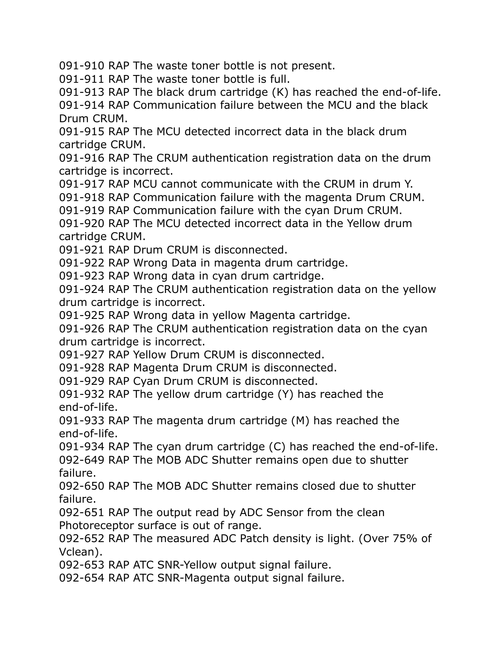091-910 RAP The waste toner bottle is not present.

091-911 RAP The waste toner bottle is full.

091-913 RAP The black drum cartridge (K) has reached the end-of-life.

091-914 RAP Communication failure between the MCU and the black Drum CRUM.

091-915 RAP The MCU detected incorrect data in the black drum cartridge CRUM.

091-916 RAP The CRUM authentication registration data on the drum cartridge is incorrect.

091-917 RAP MCU cannot communicate with the CRUM in drum Y.

091-918 RAP Communication failure with the magenta Drum CRUM.

091-919 RAP Communication failure with the cyan Drum CRUM.

091-920 RAP The MCU detected incorrect data in the Yellow drum cartridge CRUM.

091-921 RAP Drum CRUM is disconnected.

091-922 RAP Wrong Data in magenta drum cartridge.

091-923 RAP Wrong data in cyan drum cartridge.

091-924 RAP The CRUM authentication registration data on the yellow drum cartridge is incorrect.

091-925 RAP Wrong data in yellow Magenta cartridge.

091-926 RAP The CRUM authentication registration data on the cyan drum cartridge is incorrect.

091-927 RAP Yellow Drum CRUM is disconnected.

091-928 RAP Magenta Drum CRUM is disconnected.

091-929 RAP Cyan Drum CRUM is disconnected.

091-932 RAP The yellow drum cartridge (Y) has reached the end-of-life.

091-933 RAP The magenta drum cartridge (M) has reached the end-of-life.

091-934 RAP The cyan drum cartridge (C) has reached the end-of-life. 092-649 RAP The MOB ADC Shutter remains open due to shutter failure.

092-650 RAP The MOB ADC Shutter remains closed due to shutter failure.

092-651 RAP The output read by ADC Sensor from the clean Photoreceptor surface is out of range.

092-652 RAP The measured ADC Patch density is light. (Over 75% of Vclean).

092-653 RAP ATC SNR-Yellow output signal failure.

092-654 RAP ATC SNR-Magenta output signal failure.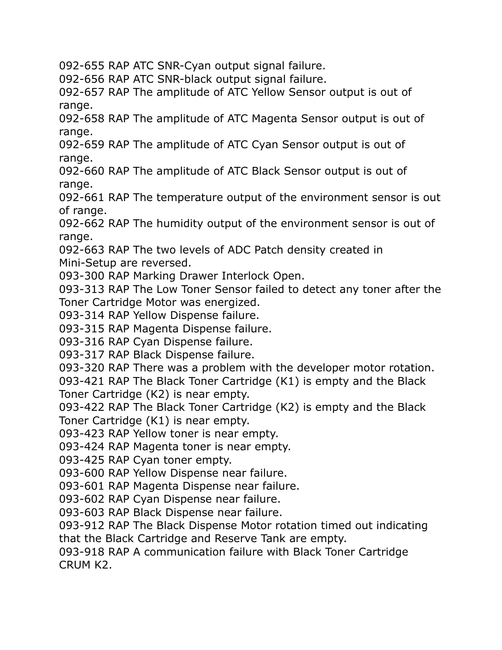092-655 RAP ATC SNR-Cyan output signal failure.

092-656 RAP ATC SNR-black output signal failure.

092-657 RAP The amplitude of ATC Yellow Sensor output is out of range.

092-658 RAP The amplitude of ATC Magenta Sensor output is out of range.

092-659 RAP The amplitude of ATC Cyan Sensor output is out of range.

092-660 RAP The amplitude of ATC Black Sensor output is out of range.

092-661 RAP The temperature output of the environment sensor is out of range.

092-662 RAP The humidity output of the environment sensor is out of range.

092-663 RAP The two levels of ADC Patch density created in Mini-Setup are reversed.

093-300 RAP Marking Drawer Interlock Open.

093-313 RAP The Low Toner Sensor failed to detect any toner after the Toner Cartridge Motor was energized.

093-314 RAP Yellow Dispense failure.

093-315 RAP Magenta Dispense failure.

093-316 RAP Cyan Dispense failure.

093-317 RAP Black Dispense failure.

093-320 RAP There was a problem with the developer motor rotation.

093-421 RAP The Black Toner Cartridge (K1) is empty and the Black Toner Cartridge (K2) is near empty.

093-422 RAP The Black Toner Cartridge (K2) is empty and the Black Toner Cartridge (K1) is near empty.

093-423 RAP Yellow toner is near empty.

093-424 RAP Magenta toner is near empty.

093-425 RAP Cyan toner empty.

093-600 RAP Yellow Dispense near failure.

093-601 RAP Magenta Dispense near failure.

093-602 RAP Cyan Dispense near failure.

093-603 RAP Black Dispense near failure.

093-912 RAP The Black Dispense Motor rotation timed out indicating that the Black Cartridge and Reserve Tank are empty.

093-918 RAP A communication failure with Black Toner Cartridge CRUM K2.